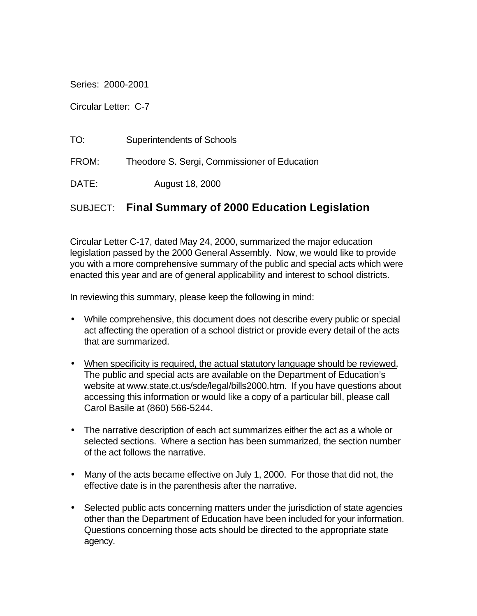Series: 2000-2001

Circular Letter: C-7

| TO:   | Superintendents of Schools                   |
|-------|----------------------------------------------|
| FROM: | Theodore S. Sergi, Commissioner of Education |
| DATE: | August 18, 2000                              |

# SUBJECT: **Final Summary of 2000 Education Legislation**

Circular Letter C-17, dated May 24, 2000, summarized the major education legislation passed by the 2000 General Assembly. Now, we would like to provide you with a more comprehensive summary of the public and special acts which were enacted this year and are of general applicability and interest to school districts.

In reviewing this summary, please keep the following in mind:

- While comprehensive, this document does not describe every public or special act affecting the operation of a school district or provide every detail of the acts that are summarized.
- When specificity is required, the actual statutory language should be reviewed. The public and special acts are available on the Department of Education's website at www.state.ct.us/sde/legal/bills2000.htm. If you have questions about accessing this information or would like a copy of a particular bill, please call Carol Basile at (860) 566-5244.
- The narrative description of each act summarizes either the act as a whole or selected sections. Where a section has been summarized, the section number of the act follows the narrative.
- Many of the acts became effective on July 1, 2000. For those that did not, the effective date is in the parenthesis after the narrative.
- Selected public acts concerning matters under the jurisdiction of state agencies other than the Department of Education have been included for your information. Questions concerning those acts should be directed to the appropriate state agency.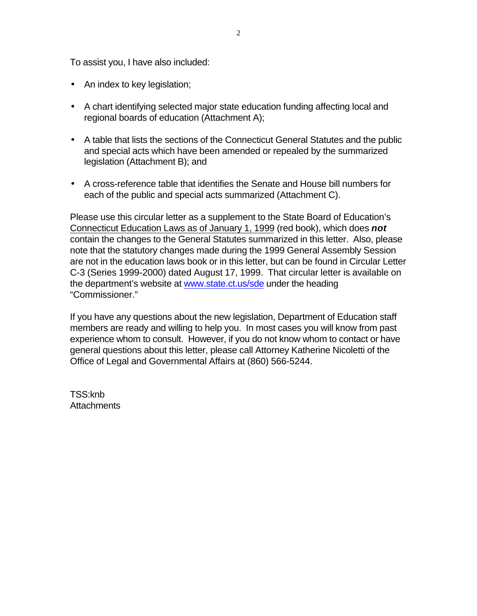To assist you, I have also included:

- An index to key legislation;
- A chart identifying selected major state education funding affecting local and regional boards of education (Attachment A);
- A table that lists the sections of the Connecticut General Statutes and the public and special acts which have been amended or repealed by the summarized legislation (Attachment B); and
- A cross-reference table that identifies the Senate and House bill numbers for each of the public and special acts summarized (Attachment C).

Please use this circular letter as a supplement to the State Board of Education's Connecticut Education Laws as of January 1, 1999 (red book), which does *not*  contain the changes to the General Statutes summarized in this letter. Also, please note that the statutory changes made during the 1999 General Assembly Session are not in the education laws book or in this letter, but can be found in Circular Letter C-3 (Series 1999-2000) dated August 17, 1999. That circular letter is available on the department's website at www.state.ct.us/sde under the heading "Commissioner."

If you have any questions about the new legislation, Department of Education staff members are ready and willing to help you. In most cases you will know from past experience whom to consult. However, if you do not know whom to contact or have general questions about this letter, please call Attorney Katherine Nicoletti of the Office of Legal and Governmental Affairs at (860) 566-5244.

TSS:knb **Attachments**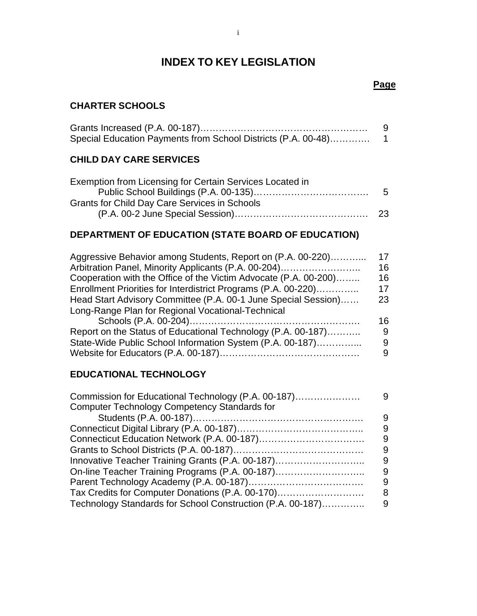# **INDEX TO KEY LEGISLATION**

## **Page**

#### **CHARTER SCHOOLS**

| Special Education Payments from School Districts (P.A. 00-48) |  |
|---------------------------------------------------------------|--|

## **CHILD DAY CARE SERVICES**

| Exemption from Licensing for Certain Services Located in |   |
|----------------------------------------------------------|---|
|                                                          | 5 |
| Grants for Child Day Care Services in Schools            |   |
|                                                          |   |
|                                                          |   |

# **DEPARTMENT OF EDUCATION (STATE BOARD OF EDUCATION)**

| Aggressive Behavior among Students, Report on (P.A. 00-220)      | 17  |
|------------------------------------------------------------------|-----|
| Arbitration Panel, Minority Applicants (P.A. 00-204)             | 16  |
| Cooperation with the Office of the Victim Advocate (P.A. 00-200) | 16  |
| Enrollment Priorities for Interdistrict Programs (P.A. 00-220)   | 17  |
| Head Start Advisory Committee (P.A. 00-1 June Special Session)   | 23  |
| Long-Range Plan for Regional Vocational-Technical                |     |
|                                                                  | 16. |
| Report on the Status of Educational Technology (P.A. 00-187)     | 9   |
| State-Wide Public School Information System (P.A. 00-187)        | 9   |
|                                                                  | 9   |

# **EDUCATIONAL TECHNOLOGY**

| Commission for Educational Technology (P.A. 00-187)        | 9 |
|------------------------------------------------------------|---|
| <b>Computer Technology Competency Standards for</b>        |   |
|                                                            | 9 |
|                                                            | 9 |
|                                                            | 9 |
|                                                            | 9 |
| Innovative Teacher Training Grants (P.A. 00-187)           | 9 |
| On-line Teacher Training Programs (P.A. 00-187)            | 9 |
|                                                            | 9 |
| Tax Credits for Computer Donations (P.A. 00-170)           | 8 |
| Technology Standards for School Construction (P.A. 00-187) | 9 |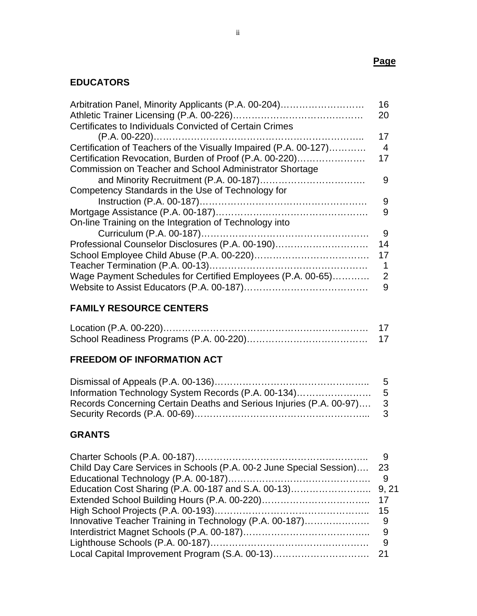## **Page**

# **EDUCATORS**

| Arbitration Panel, Minority Applicants (P.A. 00-204)             | 16 |
|------------------------------------------------------------------|----|
|                                                                  | 20 |
| Certificates to Individuals Convicted of Certain Crimes          |    |
|                                                                  | 17 |
| Certification of Teachers of the Visually Impaired (P.A. 00-127) | 4  |
| Certification Revocation, Burden of Proof (P.A. 00-220)          | 17 |
| <b>Commission on Teacher and School Administrator Shortage</b>   |    |
|                                                                  | 9  |
| Competency Standards in the Use of Technology for                |    |
|                                                                  | 9  |
|                                                                  | 9  |
| On-line Training on the Integration of Technology into           |    |
|                                                                  | 9  |
| Professional Counselor Disclosures (P.A. 00-190)                 | 14 |
|                                                                  | 17 |
|                                                                  | 1  |
| Wage Payment Schedules for Certified Employees (P.A. 00-65)      | 2  |
|                                                                  | 9  |

# **FAMILY RESOURCE CENTERS**

# **FREEDOM OF INFORMATION ACT**

| Records Concerning Certain Deaths and Serious Injuries (P.A. 00-97) 3 |  |
|-----------------------------------------------------------------------|--|
|                                                                       |  |

# **GRANTS**

| Child Day Care Services in Schools (P.A. 00-2 June Special Session) | -23 |
|---------------------------------------------------------------------|-----|
|                                                                     |     |
|                                                                     |     |
|                                                                     |     |
|                                                                     |     |
|                                                                     |     |
|                                                                     |     |
|                                                                     | - 9 |
|                                                                     |     |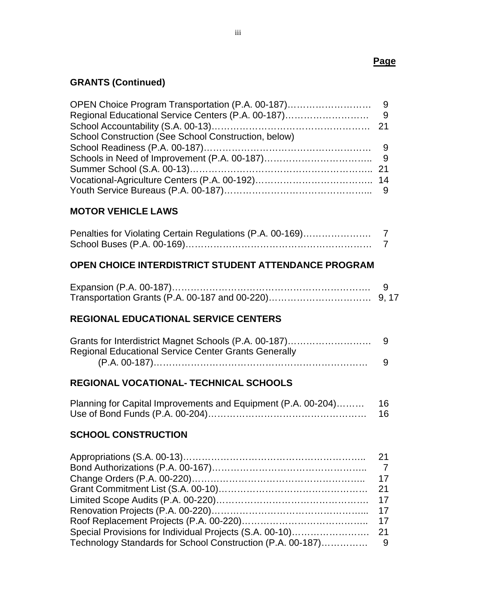#### **Page**

# **GRANTS (Continued)**

| School Construction (See School Construction, below) |  |
|------------------------------------------------------|--|
|                                                      |  |
|                                                      |  |
|                                                      |  |
|                                                      |  |
|                                                      |  |

## **MOTOR VEHICLE LAWS**

| Penalties for Violating Certain Regulations (P.A. 00-169) |  |
|-----------------------------------------------------------|--|
|                                                           |  |

#### **OPEN CHOICE INTERDISTRICT STUDENT ATTENDANCE PROGRAM**

## **REGIONAL EDUCATIONAL SERVICE CENTERS**

| <b>Regional Educational Service Center Grants Generally</b> |    |
|-------------------------------------------------------------|----|
|                                                             | -9 |

## **REGIONAL VOCATIONAL- TECHNICAL SCHOOLS**

| Planning for Capital Improvements and Equipment (P.A. 00-204) 16 |     |
|------------------------------------------------------------------|-----|
|                                                                  | 16. |

#### **SCHOOL CONSTRUCTION**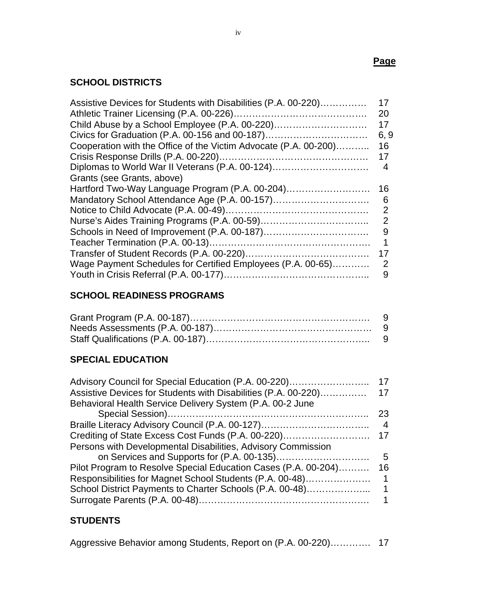# **SCHOOL DISTRICTS**

| Assistive Devices for Students with Disabilities (P.A. 00-220)   | 17   |
|------------------------------------------------------------------|------|
|                                                                  | 20   |
|                                                                  | 17   |
| Civics for Graduation (P.A. 00-156 and 00-187)                   | 6, 9 |
| Cooperation with the Office of the Victim Advocate (P.A. 00-200) | 16   |
|                                                                  | 17   |
| Diplomas to World War II Veterans (P.A. 00-124)                  | 4    |
| Grants (see Grants, above)                                       |      |
| Hartford Two-Way Language Program (P.A. 00-204)                  | 16   |
| Mandatory School Attendance Age (P.A. 00-157)                    | 6    |
|                                                                  | 2    |
|                                                                  | 2    |
|                                                                  | 9    |
|                                                                  |      |
|                                                                  | 17   |
| Wage Payment Schedules for Certified Employees (P.A. 00-65)      | 2    |
|                                                                  | 9    |

# **SCHOOL READINESS PROGRAMS**

# **SPECIAL EDUCATION**

| Advisory Council for Special Education (P.A. 00-220)           | 17 |
|----------------------------------------------------------------|----|
| Assistive Devices for Students with Disabilities (P.A. 00-220) | 17 |
| Behavioral Health Service Delivery System (P.A. 00-2 June      |    |
|                                                                | 23 |
| Braille Literacy Advisory Council (P.A. 00-127)                | 4  |
| Crediting of State Excess Cost Funds (P.A. 00-220)             | 17 |
| Persons with Developmental Disabilities, Advisory Commission   |    |
|                                                                | 5  |
| Pilot Program to Resolve Special Education Cases (P.A. 00-204) | 16 |
| Responsibilities for Magnet School Students (P.A. 00-48)       | 1  |
| School District Payments to Charter Schools (P.A. 00-48)       |    |
|                                                                |    |

## **STUDENTS**

| Aggressive Behavior among Students, Report on (P.A. 00-220) 17 |  |  |
|----------------------------------------------------------------|--|--|
|----------------------------------------------------------------|--|--|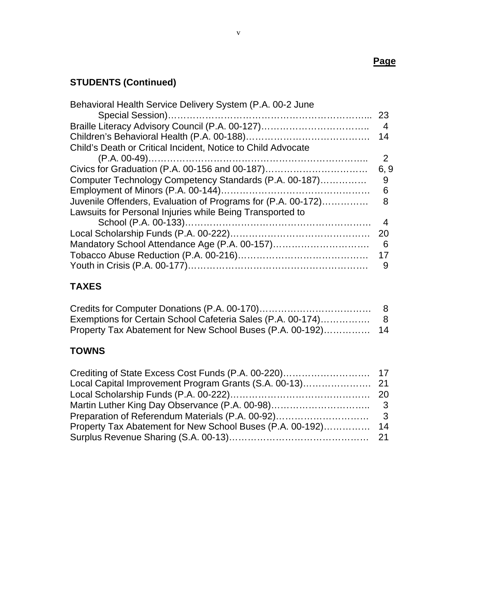# **STUDENTS (Continued)**

| Behavioral Health Service Delivery System (P.A. 00-2 June    |               |
|--------------------------------------------------------------|---------------|
|                                                              |               |
| Braille Literacy Advisory Council (P.A. 00-127)              | -4            |
|                                                              | 14            |
| Child's Death or Critical Incident, Notice to Child Advocate |               |
|                                                              | $\mathcal{P}$ |
| Civics for Graduation (P.A. 00-156 and 00-187)               | 6, 9          |
| Computer Technology Competency Standards (P.A. 00-187)       | 9             |
|                                                              | 6             |
| Juvenile Offenders, Evaluation of Programs for (P.A. 00-172) | 8             |
| Lawsuits for Personal Injuries while Being Transported to    |               |
|                                                              | -4            |
|                                                              | 20            |
| Mandatory School Attendance Age (P.A. 00-157)                | - 6           |
|                                                              | 17            |
|                                                              | 9             |

# **TAXES**

# **TOWNS**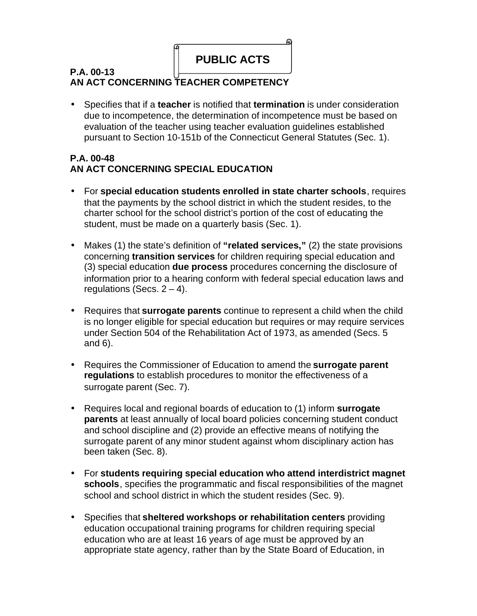

## **P.A. 00-13 AN ACT CONCERNING TEACHER COMPETENCY**

• Specifies that if a **teacher** is notified that **termination** is under consideration due to incompetence, the determination of incompetence must be based on evaluation of the teacher using teacher evaluation guidelines established pursuant to Section 10-151b of the Connecticut General Statutes (Sec. 1).

## **P.A. 00-48 AN ACT CONCERNING SPECIAL EDUCATION**

- For **special education students enrolled in state charter schools**, requires that the payments by the school district in which the student resides, to the charter school for the school district's portion of the cost of educating the student, must be made on a quarterly basis (Sec. 1).
- Makes (1) the state's definition of **"related services,"** (2) the state provisions concerning **transition services** for children requiring special education and (3) special education **due process** procedures concerning the disclosure of information prior to a hearing conform with federal special education laws and regulations (Secs.  $2 - 4$ ).
- Requires that **surrogate parents** continue to represent a child when the child is no longer eligible for special education but requires or may require services under Section 504 of the Rehabilitation Act of 1973, as amended (Secs. 5 and 6).
- Requires the Commissioner of Education to amend the **surrogate parent regulations** to establish procedures to monitor the effectiveness of a surrogate parent (Sec. 7).
- Requires local and regional boards of education to (1) inform **surrogate parents** at least annually of local board policies concerning student conduct and school discipline and (2) provide an effective means of notifying the surrogate parent of any minor student against whom disciplinary action has been taken (Sec. 8).
- For **students requiring special education who attend interdistrict magnet schools**, specifies the programmatic and fiscal responsibilities of the magnet school and school district in which the student resides (Sec. 9).
- Specifies that **sheltered workshops or rehabilitation centers** providing education occupational training programs for children requiring special education who are at least 16 years of age must be approved by an appropriate state agency, rather than by the State Board of Education, in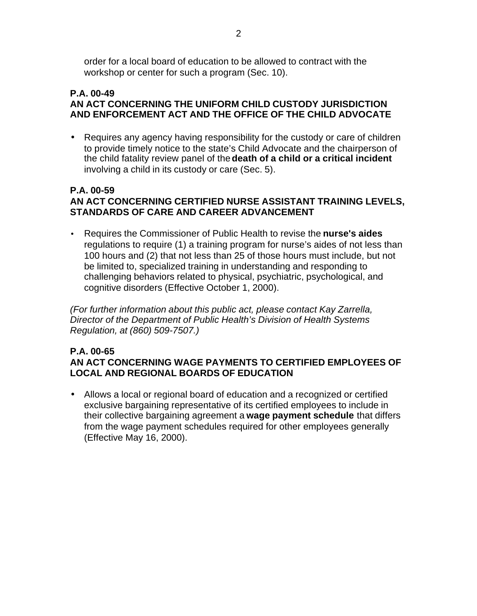order for a local board of education to be allowed to contract with the workshop or center for such a program (Sec. 10).

#### **P.A. 00-49 AN ACT CONCERNING THE UNIFORM CHILD CUSTODY JURISDICTION AND ENFORCEMENT ACT AND THE OFFICE OF THE CHILD ADVOCATE**

• Requires any agency having responsibility for the custody or care of children to provide timely notice to the state's Child Advocate and the chairperson of the child fatality review panel of the **death of a child or a critical incident**  involving a child in its custody or care (Sec. 5).

#### **P.A. 00-59 AN ACT CONCERNING CERTIFIED NURSE ASSISTANT TRAINING LEVELS, STANDARDS OF CARE AND CAREER ADVANCEMENT**

• Requires the Commissioner of Public Health to revise the **nurse's aides**  regulations to require (1) a training program for nurse's aides of not less than 100 hours and (2) that not less than 25 of those hours must include, but not be limited to, specialized training in understanding and responding to challenging behaviors related to physical, psychiatric, psychological, and cognitive disorders (Effective October 1, 2000).

*(For further information about this public act, please contact Kay Zarrella, Director of the Department of Public Health's Division of Health Systems Regulation, at (860) 509-7507.)* 

#### **P.A. 00-65 AN ACT CONCERNING WAGE PAYMENTS TO CERTIFIED EMPLOYEES OF LOCAL AND REGIONAL BOARDS OF EDUCATION**

• Allows a local or regional board of education and a recognized or certified exclusive bargaining representative of its certified employees to include in their collective bargaining agreement a **wage payment schedule** that differs from the wage payment schedules required for other employees generally (Effective May 16, 2000).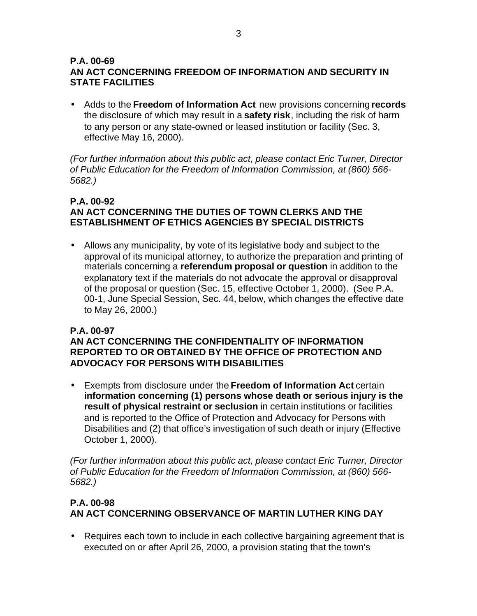#### **P.A. 00-69 AN ACT CONCERNING FREEDOM OF INFORMATION AND SECURITY IN STATE FACILITIES**

• Adds to the **Freedom of Information Act** new provisions concerning **records**  the disclosure of which may result in a **safety risk**, including the risk of harm to any person or any state-owned or leased institution or facility (Sec. 3, effective May 16, 2000).

*(For further information about this public act, please contact Eric Turner, Director of Public Education for the Freedom of Information Commission, at (860) 566- 5682.)* 

## **P.A. 00-92 AN ACT CONCERNING THE DUTIES OF TOWN CLERKS AND THE ESTABLISHMENT OF ETHICS AGENCIES BY SPECIAL DISTRICTS**

• Allows any municipality, by vote of its legislative body and subject to the approval of its municipal attorney, to authorize the preparation and printing of materials concerning a **referendum proposal or question** in addition to the explanatory text if the materials do not advocate the approval or disapproval of the proposal or question (Sec. 15, effective October 1, 2000). (See P.A. 00-1, June Special Session, Sec. 44, below, which changes the effective date to May 26, 2000.)

## **P.A. 00-97**

#### **AN ACT CONCERNING THE CONFIDENTIALITY OF INFORMATION REPORTED TO OR OBTAINED BY THE OFFICE OF PROTECTION AND ADVOCACY FOR PERSONS WITH DISABILITIES**

• Exempts from disclosure under the **Freedom of Information Act** certain **information concerning (1) persons whose death or serious injury is the result of physical restraint or seclusion** in certain institutions or facilities and is reported to the Office of Protection and Advocacy for Persons with Disabilities and (2) that office's investigation of such death or injury (Effective October 1, 2000).

*(For further information about this public act, please contact Eric Turner, Director of Public Education for the Freedom of Information Commission, at (860) 566- 5682.)* 

## **P.A. 00-98 AN ACT CONCERNING OBSERVANCE OF MARTIN LUTHER KING DAY**

• Requires each town to include in each collective bargaining agreement that is executed on or after April 26, 2000, a provision stating that the town's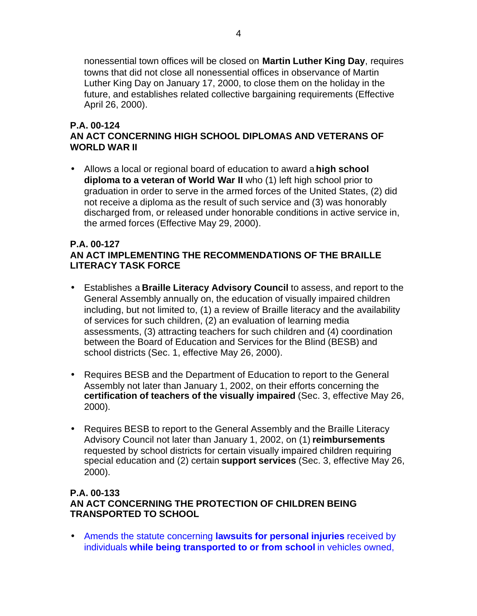nonessential town offices will be closed on **Martin Luther King Day**, requires towns that did not close all nonessential offices in observance of Martin Luther King Day on January 17, 2000, to close them on the holiday in the future, and establishes related collective bargaining requirements (Effective April 26, 2000).

#### **P.A. 00-124 AN ACT CONCERNING HIGH SCHOOL DIPLOMAS AND VETERANS OF WORLD WAR II**

• Allows a local or regional board of education to award a **high school diploma to a veteran of World War II** who (1) left high school prior to graduation in order to serve in the armed forces of the United States, (2) did not receive a diploma as the result of such service and (3) was honorably discharged from, or released under honorable conditions in active service in, the armed forces (Effective May 29, 2000).

#### **P.A. 00-127 AN ACT IMPLEMENTING THE RECOMMENDATIONS OF THE BRAILLE LITERACY TASK FORCE**

- Establishes a **Braille Literacy Advisory Council** to assess, and report to the General Assembly annually on, the education of visually impaired children including, but not limited to, (1) a review of Braille literacy and the availability of services for such children, (2) an evaluation of learning media assessments, (3) attracting teachers for such children and (4) coordination between the Board of Education and Services for the Blind (BESB) and school districts (Sec. 1, effective May 26, 2000).
- Requires BESB and the Department of Education to report to the General Assembly not later than January 1, 2002, on their efforts concerning the **certification of teachers of the visually impaired** (Sec. 3, effective May 26, 2000).
- Requires BESB to report to the General Assembly and the Braille Literacy Advisory Council not later than January 1, 2002, on (1) **reimbursements**  requested by school districts for certain visually impaired children requiring special education and (2) certain **support services** (Sec. 3, effective May 26, 2000).

#### **P.A. 00-133 AN ACT CONCERNING THE PROTECTION OF CHILDREN BEING TRANSPORTED TO SCHOOL**

• Amends the statute concerning **lawsuits for personal injuries** received by individuals **while being transported to or from school** in vehicles owned,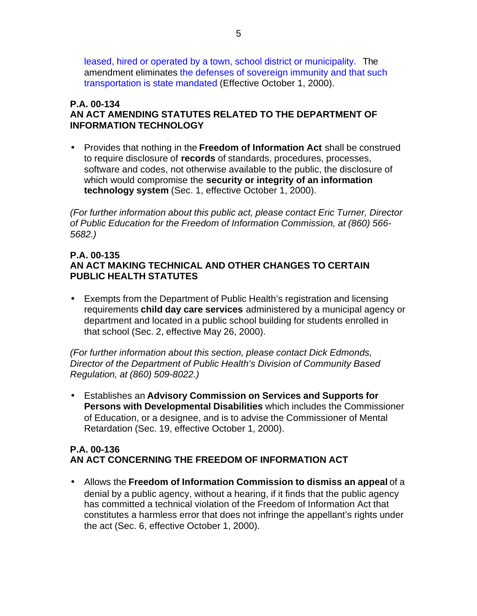leased, hired or operated by a town, school district or municipality. The amendment eliminates the defenses of sovereign immunity and that such transportation is state mandated (Effective October 1, 2000).

#### **P.A. 00-134 AN ACT AMENDING STATUTES RELATED TO THE DEPARTMENT OF INFORMATION TECHNOLOGY**

• Provides that nothing in the **Freedom of Information Act** shall be construed to require disclosure of **records** of standards, procedures, processes, software and codes, not otherwise available to the public, the disclosure of which would compromise the **security or integrity of an information technology system** (Sec. 1, effective October 1, 2000).

*(For further information about this public act, please contact Eric Turner, Director of Public Education for the Freedom of Information Commission, at (860) 566- 5682.)* 

#### **P.A. 00-135 AN ACT MAKING TECHNICAL AND OTHER CHANGES TO CERTAIN PUBLIC HEALTH STATUTES**

• Exempts from the Department of Public Health's registration and licensing requirements **child day care services** administered by a municipal agency or department and located in a public school building for students enrolled in that school (Sec. 2, effective May 26, 2000).

*(For further information about this section, please contact Dick Edmonds, Director of the Department of Public Health's Division of Community Based Regulation, at (860) 509-8022.)* 

• Establishes an **Advisory Commission on Services and Supports for Persons with Developmental Disabilities** which includes the Commissioner of Education, or a designee, and is to advise the Commissioner of Mental Retardation (Sec. 19, effective October 1, 2000).

## **P.A. 00-136 AN ACT CONCERNING THE FREEDOM OF INFORMATION ACT**

• Allows the **Freedom of Information Commission to dismiss an appeal** of a denial by a public agency, without a hearing, if it finds that the public agency has committed a technical violation of the Freedom of Information Act that constitutes a harmless error that does not infringe the appellant's rights under the act (Sec. 6, effective October 1, 2000).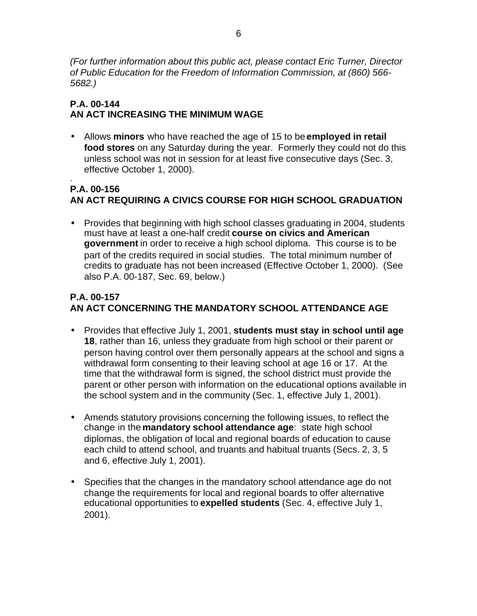*(For further information about this public act, please contact Eric Turner, Director of Public Education for the Freedom of Information Commission, at (860) 566- 5682.)* 

## **P.A. 00-144 AN ACT INCREASING THE MINIMUM WAGE**

• Allows **minors** who have reached the age of 15 to be **employed in retail food stores** on any Saturday during the year. Formerly they could not do this unless school was not in session for at least five consecutive days (Sec. 3, effective October 1, 2000).

#### . **P.A. 00-156 AN ACT REQUIRING A CIVICS COURSE FOR HIGH SCHOOL GRADUATION**

• Provides that beginning with high school classes graduating in 2004, students must have at least a one-half credit **course on civics and American government** in order to receive a high school diploma. This course is to be part of the credits required in social studies. The total minimum number of credits to graduate has not been increased (Effective October 1, 2000). (See also P.A. 00-187, Sec. 69, below.)

# **P.A. 00-157 AN ACT CONCERNING THE MANDATORY SCHOOL ATTENDANCE AGE**

- Provides that effective July 1, 2001, **students must stay in school until age 18**, rather than 16, unless they graduate from high school or their parent or person having control over them personally appears at the school and signs a withdrawal form consenting to their leaving school at age 16 or 17. At the time that the withdrawal form is signed, the school district must provide the parent or other person with information on the educational options available in the school system and in the community (Sec. 1, effective July 1, 2001).
- Amends statutory provisions concerning the following issues, to reflect the change in the **mandatory school attendance age**: state high school diplomas, the obligation of local and regional boards of education to cause each child to attend school, and truants and habitual truants (Secs. 2, 3, 5 and 6, effective July 1, 2001).
- Specifies that the changes in the mandatory school attendance age do not change the requirements for local and regional boards to offer alternative educational opportunities to **expelled students** (Sec. 4, effective July 1, 2001).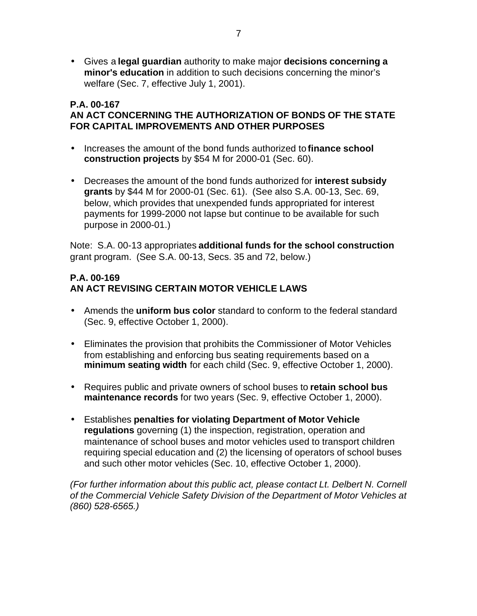• Gives a **legal guardian** authority to make major **decisions concerning a minor's education** in addition to such decisions concerning the minor's welfare (Sec. 7, effective July 1, 2001).

#### **P.A. 00-167 AN ACT CONCERNING THE AUTHORIZATION OF BONDS OF THE STATE FOR CAPITAL IMPROVEMENTS AND OTHER PURPOSES**

- Increases the amount of the bond funds authorized to **finance school construction projects** by \$54 M for 2000-01 (Sec. 60).
- Decreases the amount of the bond funds authorized for **interest subsidy grants** by \$44 M for 2000-01 (Sec. 61). (See also S.A. 00-13, Sec. 69, below, which provides that unexpended funds appropriated for interest payments for 1999-2000 not lapse but continue to be available for such purpose in 2000-01.)

Note: S.A. 00-13 appropriates **additional funds for the school construction**  grant program. (See S.A. 00-13, Secs. 35 and 72, below.)

#### **P.A. 00-169 AN ACT REVISING CERTAIN MOTOR VEHICLE LAWS**

- Amends the **uniform bus color** standard to conform to the federal standard (Sec. 9, effective October 1, 2000).
- Eliminates the provision that prohibits the Commissioner of Motor Vehicles from establishing and enforcing bus seating requirements based on a **minimum seating width** for each child (Sec. 9, effective October 1, 2000).
- Requires public and private owners of school buses to **retain school bus maintenance records** for two years (Sec. 9, effective October 1, 2000).
- Establishes **penalties for violating Department of Motor Vehicle regulations** governing (1) the inspection, registration, operation and maintenance of school buses and motor vehicles used to transport children requiring special education and (2) the licensing of operators of school buses and such other motor vehicles (Sec. 10, effective October 1, 2000).

*(For further information about this public act, please contact Lt. Delbert N. Cornell of the Commercial Vehicle Safety Division of the Department of Motor Vehicles at (860) 528-6565.)*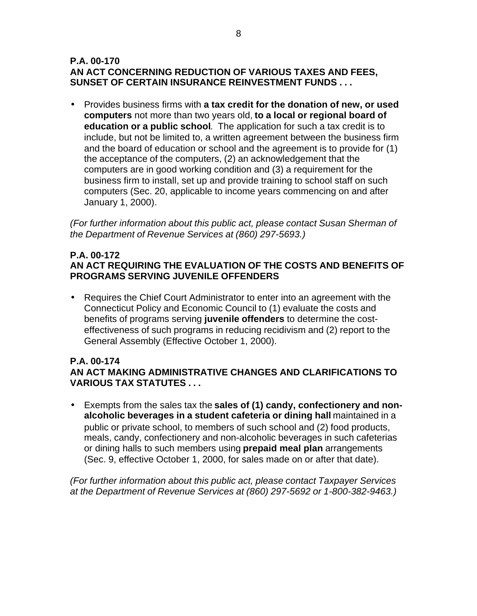#### **P.A. 00-170 AN ACT CONCERNING REDUCTION OF VARIOUS TAXES AND FEES, SUNSET OF CERTAIN INSURANCE REINVESTMENT FUNDS . . .**

• Provides business firms with **a tax credit for the donation of new, or used computers** not more than two years old, **to a local or regional board of education or a public school**. The application for such a tax credit is to include, but not be limited to, a written agreement between the business firm and the board of education or school and the agreement is to provide for (1) the acceptance of the computers, (2) an acknowledgement that the computers are in good working condition and (3) a requirement for the business firm to install, set up and provide training to school staff on such computers (Sec. 20, applicable to income years commencing on and after January 1, 2000).

*(For further information about this public act, please contact Susan Sherman of the Department of Revenue Services at (860) 297-5693.)* 

#### **P.A. 00-172 AN ACT REQUIRING THE EVALUATION OF THE COSTS AND BENEFITS OF PROGRAMS SERVING JUVENILE OFFENDERS**

• Requires the Chief Court Administrator to enter into an agreement with the Connecticut Policy and Economic Council to (1) evaluate the costs and benefits of programs serving **juvenile offenders** to determine the costeffectiveness of such programs in reducing recidivism and (2) report to the General Assembly (Effective October 1, 2000).

## **P.A. 00-174**

**AN ACT MAKING ADMINISTRATIVE CHANGES AND CLARIFICATIONS TO VARIOUS TAX STATUTES . . .**

• Exempts from the sales tax the **sales of (1) candy, confectionery and nonalcoholic beverages in a student cafeteria or dining hall** maintained in a public or private school, to members of such school and (2) food products, meals, candy, confectionery and non-alcoholic beverages in such cafeterias or dining halls to such members using **prepaid meal plan** arrangements (Sec. 9, effective October 1, 2000, for sales made on or after that date).

*(For further information about this public act, please contact Taxpayer Services at the Department of Revenue Services at (860) 297-5692 or 1-800-382-9463.)*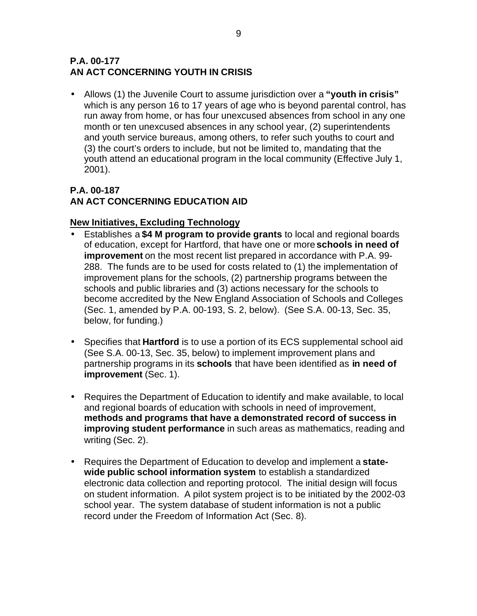## **P.A. 00-177 AN ACT CONCERNING YOUTH IN CRISIS**

• Allows (1) the Juvenile Court to assume jurisdiction over a **"youth in crisis"**  which is any person 16 to 17 years of age who is beyond parental control, has run away from home, or has four unexcused absences from school in any one month or ten unexcused absences in any school year, (2) superintendents and youth service bureaus, among others, to refer such youths to court and (3) the court's orders to include, but not be limited to, mandating that the youth attend an educational program in the local community (Effective July 1, 2001).

## **P.A. 00-187 AN ACT CONCERNING EDUCATION AID**

## **New Initiatives, Excluding Technology**

- Establishes a **\$4 M program to provide grants** to local and regional boards of education, except for Hartford, that have one or more **schools in need of improvement** on the most recent list prepared in accordance with P.A. 99- 288. The funds are to be used for costs related to (1) the implementation of improvement plans for the schools, (2) partnership programs between the schools and public libraries and (3) actions necessary for the schools to become accredited by the New England Association of Schools and Colleges (Sec. 1, amended by P.A. 00-193, S. 2, below). (See S.A. 00-13, Sec. 35, below, for funding.)
- Specifies that **Hartford** is to use a portion of its ECS supplemental school aid (See S.A. 00-13, Sec. 35, below) to implement improvement plans and partnership programs in its **schools** that have been identified as **in need of improvement** (Sec. 1).
- Requires the Department of Education to identify and make available, to local and regional boards of education with schools in need of improvement, **methods and programs that have a demonstrated record of success in improving student performance** in such areas as mathematics, reading and writing (Sec. 2).
- Requires the Department of Education to develop and implement a **statewide public school information system** to establish a standardized electronic data collection and reporting protocol. The initial design will focus on student information. A pilot system project is to be initiated by the 2002-03 school year. The system database of student information is not a public record under the Freedom of Information Act (Sec. 8).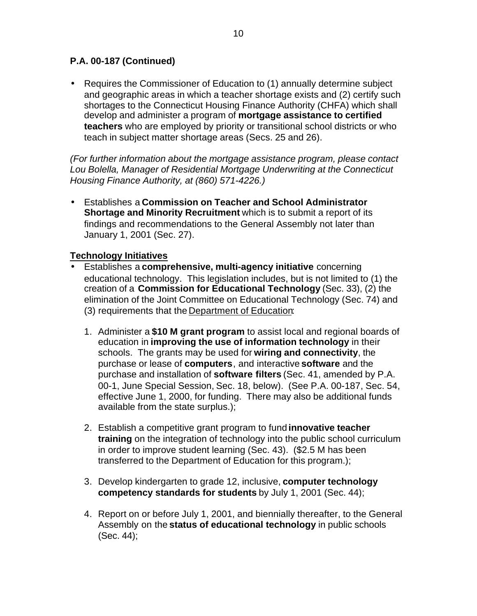• Requires the Commissioner of Education to (1) annually determine subject and geographic areas in which a teacher shortage exists and (2) certify such shortages to the Connecticut Housing Finance Authority (CHFA) which shall develop and administer a program of **mortgage assistance to certified teachers** who are employed by priority or transitional school districts or who teach in subject matter shortage areas (Secs. 25 and 26).

*(For further information about the mortgage assistance program, please contact Lou Bolella, Manager of Residential Mortgage Underwriting at the Connecticut Housing Finance Authority, at (860) 571-4226.)* 

• Establishes a **Commission on Teacher and School Administrator Shortage and Minority Recruitment** which is to submit a report of its findings and recommendations to the General Assembly not later than January 1, 2001 (Sec. 27).

#### **Technology Initiatives**

- Establishes a **comprehensive, multi-agency initiative** concerning educational technology. This legislation includes, but is not limited to (1) the creation of a **Commission for Educational Technology** (Sec. 33), (2) the elimination of the Joint Committee on Educational Technology (Sec. 74) and (3) requirements that the Department of Education:
	- 1. Administer a **\$10 M grant program** to assist local and regional boards of education in **improving the use of information technology** in their schools. The grants may be used for **wiring and connectivity**, the purchase or lease of **computers**, and interactive **software** and the purchase and installation of **software filters** (Sec. 41, amended by P.A. 00-1, June Special Session, Sec. 18, below). (See P.A. 00-187, Sec. 54, effective June 1, 2000, for funding. There may also be additional funds available from the state surplus.);
	- 2. Establish a competitive grant program to fund **innovative teacher training** on the integration of technology into the public school curriculum in order to improve student learning (Sec. 43). (\$2.5 M has been transferred to the Department of Education for this program.);
	- 3. Develop kindergarten to grade 12, inclusive, **computer technology competency standards for students** by July 1, 2001 (Sec. 44);
	- 4. Report on or before July 1, 2001, and biennially thereafter, to the General Assembly on the **status of educational technology** in public schools (Sec. 44);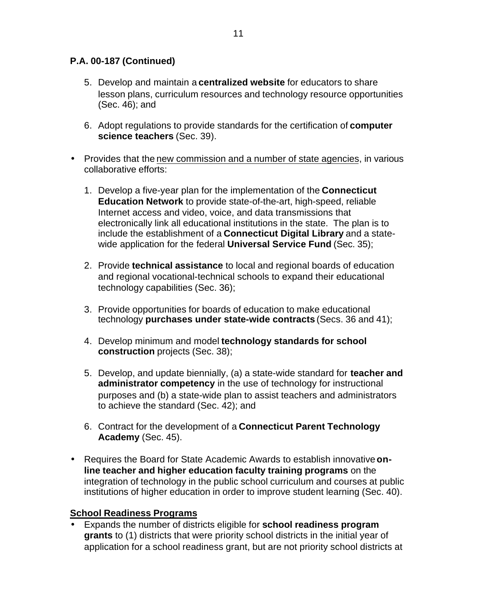- 5. Develop and maintain a **centralized website** for educators to share lesson plans, curriculum resources and technology resource opportunities (Sec. 46); and
- 6. Adopt regulations to provide standards for the certification of **computer science teachers** (Sec. 39).
- Provides that the new commission and a number of state agencies, in various collaborative efforts:
	- 1. Develop a five-year plan for the implementation of the **Connecticut Education Network** to provide state-of-the-art, high-speed, reliable Internet access and video, voice, and data transmissions that electronically link all educational institutions in the state. The plan is to include the establishment of a **Connecticut Digital Library** and a statewide application for the federal **Universal Service Fund** (Sec. 35);
	- 2. Provide **technical assistance** to local and regional boards of education and regional vocational-technical schools to expand their educational technology capabilities (Sec. 36);
	- 3. Provide opportunities for boards of education to make educational technology **purchases under state-wide contracts** (Secs. 36 and 41);
	- 4. Develop minimum and model **technology standards for school construction** projects (Sec. 38);
	- 5. Develop, and update biennially, (a) a state-wide standard for **teacher and administrator competency** in the use of technology for instructional purposes and (b) a state-wide plan to assist teachers and administrators to achieve the standard (Sec. 42); and
	- 6. Contract for the development of a **Connecticut Parent Technology Academy** (Sec. 45).
- Requires the Board for State Academic Awards to establish innovative **online teacher and higher education faculty training programs** on the integration of technology in the public school curriculum and courses at public institutions of higher education in order to improve student learning (Sec. 40).

## **School Readiness Programs**

• Expands the number of districts eligible for **school readiness program grants** to (1) districts that were priority school districts in the initial year of application for a school readiness grant, but are not priority school districts at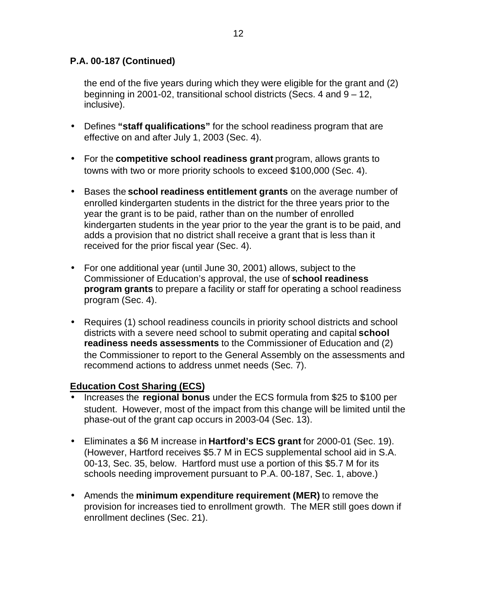the end of the five years during which they were eligible for the grant and (2) beginning in 2001-02, transitional school districts (Secs. 4 and 9 – 12, inclusive).

- Defines **"staff qualifications"** for the school readiness program that are effective on and after July 1, 2003 (Sec. 4).
- For the **competitive school readiness grant** program, allows grants to towns with two or more priority schools to exceed \$100,000 (Sec. 4).
- Bases the **school readiness entitlement grants** on the average number of enrolled kindergarten students in the district for the three years prior to the year the grant is to be paid, rather than on the number of enrolled kindergarten students in the year prior to the year the grant is to be paid, and adds a provision that no district shall receive a grant that is less than it received for the prior fiscal year (Sec. 4).
- For one additional year (until June 30, 2001) allows, subject to the Commissioner of Education's approval, the use of **school readiness program grants** to prepare a facility or staff for operating a school readiness program (Sec. 4).
- Requires (1) school readiness councils in priority school districts and school districts with a severe need school to submit operating and capital **school readiness needs assessments** to the Commissioner of Education and (2) the Commissioner to report to the General Assembly on the assessments and recommend actions to address unmet needs (Sec. 7).

## **Education Cost Sharing (ECS)**

- Increases the **regional bonus** under the ECS formula from \$25 to \$100 per student. However, most of the impact from this change will be limited until the phase-out of the grant cap occurs in 2003-04 (Sec. 13).
- Eliminates a \$6 M increase in **Hartford's ECS grant** for 2000-01 (Sec. 19). (However, Hartford receives \$5.7 M in ECS supplemental school aid in S.A. 00-13, Sec. 35, below. Hartford must use a portion of this \$5.7 M for its schools needing improvement pursuant to P.A. 00-187, Sec. 1, above.)
- Amends the **minimum expenditure requirement (MER)** to remove the provision for increases tied to enrollment growth. The MER still goes down if enrollment declines (Sec. 21).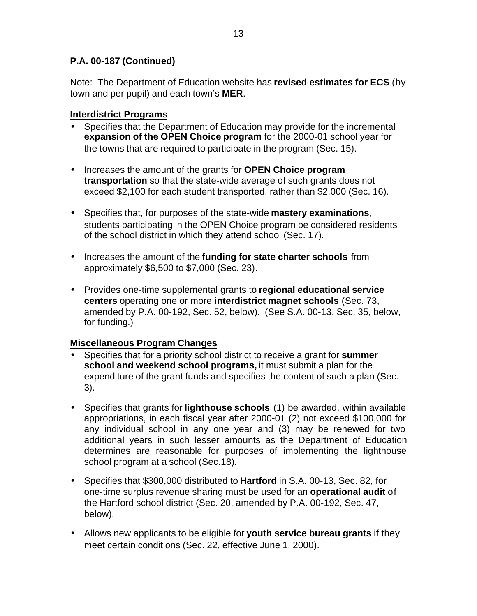Note: The Department of Education website has **revised estimates for ECS** (by town and per pupil) and each town's **MER**.

## **Interdistrict Programs**

- Specifies that the Department of Education may provide for the incremental **expansion of the OPEN Choice program** for the 2000-01 school year for the towns that are required to participate in the program (Sec. 15).
- Increases the amount of the grants for **OPEN Choice program transportation** so that the state-wide average of such grants does not exceed \$2,100 for each student transported, rather than \$2,000 (Sec. 16).
- Specifies that, for purposes of the state-wide **mastery examinations**, students participating in the OPEN Choice program be considered residents of the school district in which they attend school (Sec. 17).
- Increases the amount of the **funding for state charter schools** from approximately \$6,500 to \$7,000 (Sec. 23).
- Provides one-time supplemental grants to **regional educational service centers** operating one or more **interdistrict magnet schools** (Sec. 73, amended by P.A. 00-192, Sec. 52, below). (See S.A. 00-13, Sec. 35, below, for funding.)

## **Miscellaneous Program Changes**

- Specifies that for a priority school district to receive a grant for **summer school and weekend school programs,** it must submit a plan for the expenditure of the grant funds and specifies the content of such a plan (Sec. 3).
- Specifies that grants for **lighthouse schools** (1) be awarded, within available appropriations, in each fiscal year after 2000-01 (2) not exceed \$100,000 for any individual school in any one year and (3) may be renewed for two additional years in such lesser amounts as the Department of Education determines are reasonable for purposes of implementing the lighthouse school program at a school (Sec.18).
- Specifies that \$300,000 distributed to **Hartford** in S.A. 00-13, Sec. 82, for one-time surplus revenue sharing must be used for an **operational audit** of the Hartford school district (Sec. 20, amended by P.A. 00-192, Sec. 47, below).
- Allows new applicants to be eligible for **youth service bureau grants** if they meet certain conditions (Sec. 22, effective June 1, 2000).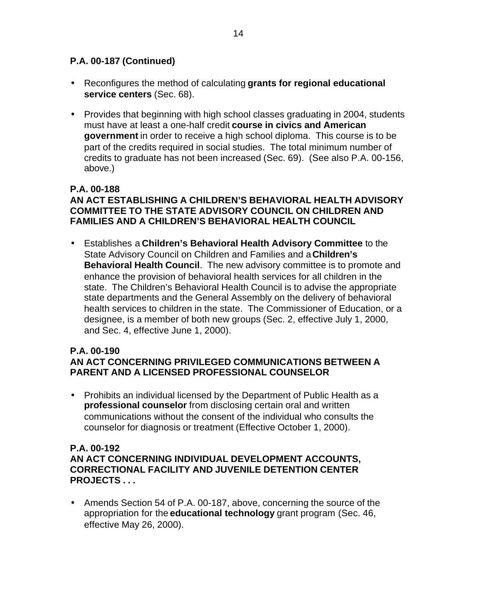- Reconfigures the method of calculating **grants for regional educational service centers** (Sec. 68).
- Provides that beginning with high school classes graduating in 2004, students must have at least a one-half credit **course in civics and American government** in order to receive a high school diploma. This course is to be part of the credits required in social studies. The total minimum number of credits to graduate has not been increased (Sec. 69). (See also P.A. 00-156, above.)

## **P.A. 00-188**

## **AN ACT ESTABLISHING A CHILDREN'S BEHAVIORAL HEALTH ADVISORY COMMITTEE TO THE STATE ADVISORY COUNCIL ON CHILDREN AND FAMILIES AND A CHILDREN'S BEHAVIORAL HEALTH COUNCIL**

• Establishes a **Children's Behavioral Health Advisory Committee** to the State Advisory Council on Children and Families and a **Children's Behavioral Health Council**. The new advisory committee is to promote and enhance the provision of behavioral health services for all children in the state. The Children's Behavioral Health Council is to advise the appropriate state departments and the General Assembly on the delivery of behavioral health services to children in the state. The Commissioner of Education, or a designee, is a member of both new groups (Sec. 2, effective July 1, 2000, and Sec. 4, effective June 1, 2000).

#### **P.A. 00-190 AN ACT CONCERNING PRIVILEGED COMMUNICATIONS BETWEEN A PARENT AND A LICENSED PROFESSIONAL COUNSELOR**

• Prohibits an individual licensed by the Department of Public Health as a **professional counselor** from disclosing certain oral and written communications without the consent of the individual who consults the counselor for diagnosis or treatment (Effective October 1, 2000).

#### **P.A. 00-192 AN ACT CONCERNING INDIVIDUAL DEVELOPMENT ACCOUNTS, CORRECTIONAL FACILITY AND JUVENILE DETENTION CENTER PROJECTS . . .**

• Amends Section 54 of P.A. 00-187, above, concerning the source of the appropriation for the **educational technology** grant program (Sec. 46, effective May 26, 2000).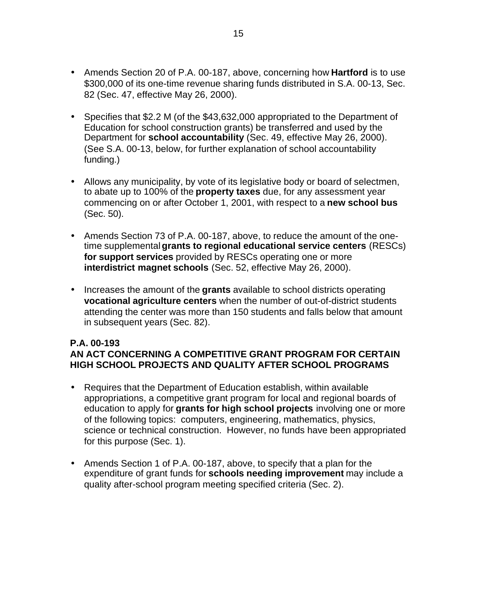- Amends Section 20 of P.A. 00-187, above, concerning how **Hartford** is to use \$300,000 of its one-time revenue sharing funds distributed in S.A. 00-13, Sec. 82 (Sec. 47, effective May 26, 2000).
- Specifies that \$2.2 M (of the \$43,632,000 appropriated to the Department of Education for school construction grants) be transferred and used by the Department for **school accountability** (Sec. 49, effective May 26, 2000). (See S.A. 00-13, below, for further explanation of school accountability funding.)
- Allows any municipality, by vote of its legislative body or board of selectmen, to abate up to 100% of the **property taxes** due, for any assessment year commencing on or after October 1, 2001, with respect to a **new school bus**  (Sec. 50).
- Amends Section 73 of P.A. 00-187, above, to reduce the amount of the onetime supplemental **grants to regional educational service centers** (RESCs) **for support services** provided by RESCs operating one or more **interdistrict magnet schools** (Sec. 52, effective May 26, 2000).
- Increases the amount of the **grants** available to school districts operating **vocational agriculture centers** when the number of out-of-district students attending the center was more than 150 students and falls below that amount in subsequent years (Sec. 82).

#### **P.A. 00-193 AN ACT CONCERNING A COMPETITIVE GRANT PROGRAM FOR CERTAIN HIGH SCHOOL PROJECTS AND QUALITY AFTER SCHOOL PROGRAMS**

- Requires that the Department of Education establish, within available appropriations, a competitive grant program for local and regional boards of education to apply for **grants for high school projects** involving one or more of the following topics: computers, engineering, mathematics, physics, science or technical construction. However, no funds have been appropriated for this purpose (Sec. 1).
- Amends Section 1 of P.A. 00-187, above, to specify that a plan for the expenditure of grant funds for **schools needing improvement** may include a quality after-school program meeting specified criteria (Sec. 2).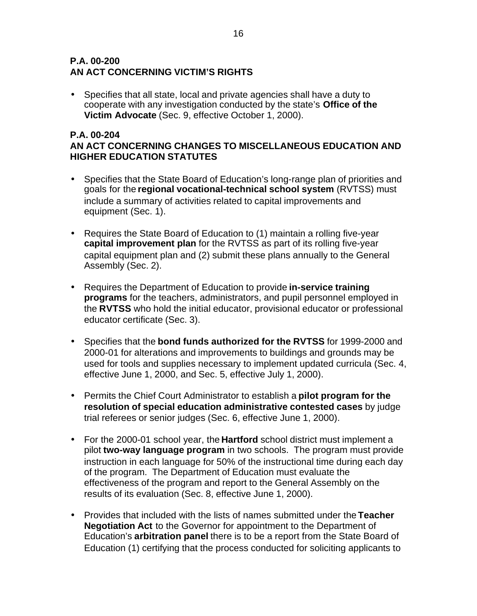#### **P.A. 00-200 AN ACT CONCERNING VICTIM'S RIGHTS**

• Specifies that all state, local and private agencies shall have a duty to cooperate with any investigation conducted by the state's **Office of the Victim Advocate** (Sec. 9, effective October 1, 2000).

#### **P.A. 00-204 AN ACT CONCERNING CHANGES TO MISCELLANEOUS EDUCATION AND HIGHER EDUCATION STATUTES**

- Specifies that the State Board of Education's long-range plan of priorities and goals for the **regional vocational-technical school system** (RVTSS) must include a summary of activities related to capital improvements and equipment (Sec. 1).
- Requires the State Board of Education to (1) maintain a rolling five-year **capital improvement plan** for the RVTSS as part of its rolling five-year capital equipment plan and (2) submit these plans annually to the General Assembly (Sec. 2).
- Requires the Department of Education to provide **in-service training programs** for the teachers, administrators, and pupil personnel employed in the **RVTSS** who hold the initial educator, provisional educator or professional educator certificate (Sec. 3).
- Specifies that the **bond funds authorized for the RVTSS** for 1999-2000 and 2000-01 for alterations and improvements to buildings and grounds may be used for tools and supplies necessary to implement updated curricula (Sec. 4, effective June 1, 2000, and Sec. 5, effective July 1, 2000).
- Permits the Chief Court Administrator to establish a **pilot program for the resolution of special education administrative contested cases** by judge trial referees or senior judges (Sec. 6, effective June 1, 2000).
- For the 2000-01 school year, the **Hartford** school district must implement a pilot **two-way language program** in two schools. The program must provide instruction in each language for 50% of the instructional time during each day of the program. The Department of Education must evaluate the effectiveness of the program and report to the General Assembly on the results of its evaluation (Sec. 8, effective June 1, 2000).
- Provides that included with the lists of names submitted under the **Teacher Negotiation Act** to the Governor for appointment to the Department of Education's **arbitration panel** there is to be a report from the State Board of Education (1) certifying that the process conducted for soliciting applicants to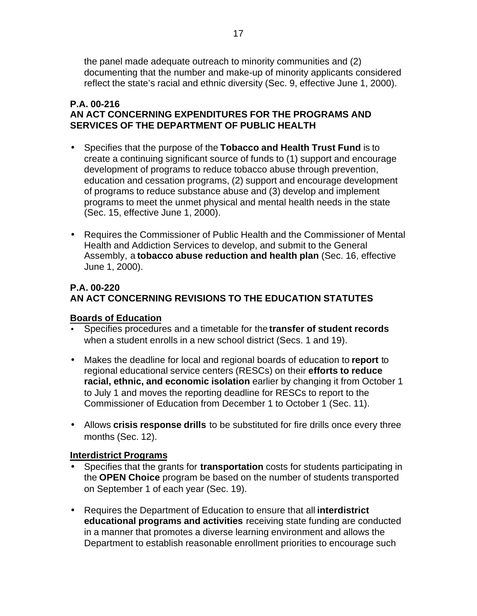the panel made adequate outreach to minority communities and (2) documenting that the number and make-up of minority applicants considered reflect the state's racial and ethnic diversity (Sec. 9, effective June 1, 2000).

#### **P.A. 00-216 AN ACT CONCERNING EXPENDITURES FOR THE PROGRAMS AND SERVICES OF THE DEPARTMENT OF PUBLIC HEALTH**

- Specifies that the purpose of the **Tobacco and Health Trust Fund** is to create a continuing significant source of funds to (1) support and encourage development of programs to reduce tobacco abuse through prevention, education and cessation programs, (2) support and encourage development of programs to reduce substance abuse and (3) develop and implement programs to meet the unmet physical and mental health needs in the state (Sec. 15, effective June 1, 2000).
- Requires the Commissioner of Public Health and the Commissioner of Mental Health and Addiction Services to develop, and submit to the General Assembly, a **tobacco abuse reduction and health plan** (Sec. 16, effective June 1, 2000).

## **P.A. 00-220 AN ACT CONCERNING REVISIONS TO THE EDUCATION STATUTES**

## **Boards of Education**

- Specifies procedures and a timetable for the **transfer of student records**  when a student enrolls in a new school district (Secs. 1 and 19).
- Makes the deadline for local and regional boards of education to **report** to regional educational service centers (RESCs) on their **efforts to reduce racial, ethnic, and economic isolation** earlier by changing it from October 1 to July 1 and moves the reporting deadline for RESCs to report to the Commissioner of Education from December 1 to October 1 (Sec. 11).
- Allows **crisis response drills** to be substituted for fire drills once every three months (Sec. 12).

#### **Interdistrict Programs**

- Specifies that the grants for **transportation** costs for students participating in the **OPEN Choice** program be based on the number of students transported on September 1 of each year (Sec. 19).
- Requires the Department of Education to ensure that all **interdistrict educational programs and activities** receiving state funding are conducted in a manner that promotes a diverse learning environment and allows the Department to establish reasonable enrollment priorities to encourage such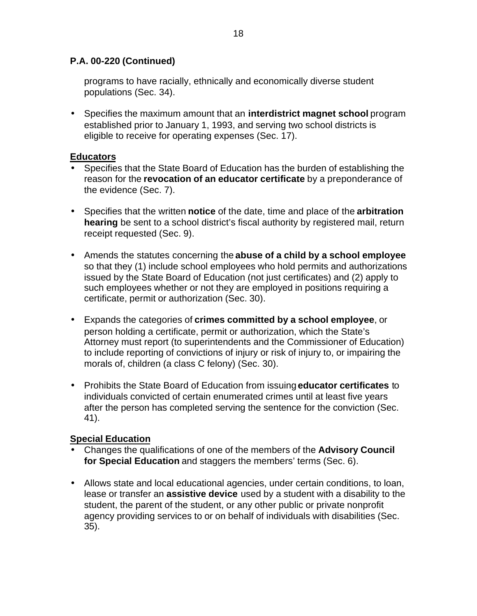#### **P.A. 00-220 (Continued)**

programs to have racially, ethnically and economically diverse student populations (Sec. 34).

• Specifies the maximum amount that an **interdistrict magnet school** program established prior to January 1, 1993, and serving two school districts is eligible to receive for operating expenses (Sec. 17).

#### **Educators**

- Specifies that the State Board of Education has the burden of establishing the reason for the **revocation of an educator certificate** by a preponderance of the evidence (Sec. 7).
- Specifies that the written **notice** of the date, time and place of the **arbitration hearing** be sent to a school district's fiscal authority by registered mail, return receipt requested (Sec. 9).
- Amends the statutes concerning the **abuse of a child by a school employee**  so that they (1) include school employees who hold permits and authorizations issued by the State Board of Education (not just certificates) and (2) apply to such employees whether or not they are employed in positions requiring a certificate, permit or authorization (Sec. 30).
- Expands the categories of **crimes committed by a school employee**, or person holding a certificate, permit or authorization, which the State's Attorney must report (to superintendents and the Commissioner of Education) to include reporting of convictions of injury or risk of injury to, or impairing the morals of, children (a class C felony) (Sec. 30).
- Prohibits the State Board of Education from issuing **educator certificates** to individuals convicted of certain enumerated crimes until at least five years after the person has completed serving the sentence for the conviction (Sec. 41).

## **Special Education**

- Changes the qualifications of one of the members of the **Advisory Council for Special Education** and staggers the members' terms (Sec. 6).
- Allows state and local educational agencies, under certain conditions, to loan, lease or transfer an **assistive device** used by a student with a disability to the student, the parent of the student, or any other public or private nonprofit agency providing services to or on behalf of individuals with disabilities (Sec. 35).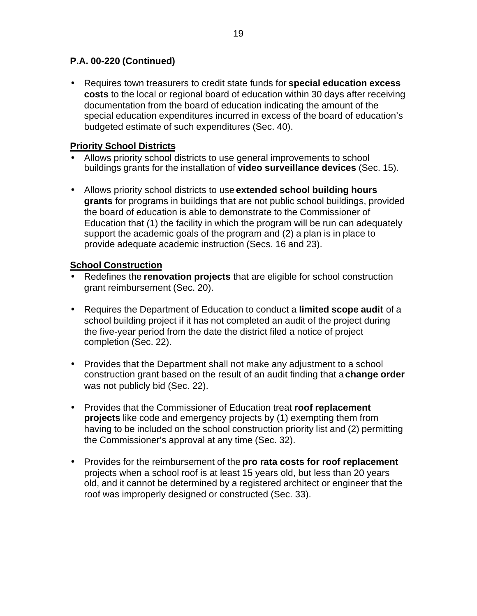#### **P.A. 00-220 (Continued)**

• Requires town treasurers to credit state funds for **special education excess costs** to the local or regional board of education within 30 days after receiving documentation from the board of education indicating the amount of the special education expenditures incurred in excess of the board of education's budgeted estimate of such expenditures (Sec. 40).

#### **Priority School Districts**

- Allows priority school districts to use general improvements to school buildings grants for the installation of **video surveillance devices** (Sec. 15).
- Allows priority school districts to use **extended school building hours grants** for programs in buildings that are not public school buildings, provided the board of education is able to demonstrate to the Commissioner of Education that (1) the facility in which the program will be run can adequately support the academic goals of the program and (2) a plan is in place to provide adequate academic instruction (Secs. 16 and 23).

#### **School Construction**

- Redefines the **renovation projects** that are eligible for school construction grant reimbursement (Sec. 20).
- Requires the Department of Education to conduct a **limited scope audit** of a school building project if it has not completed an audit of the project during the five-year period from the date the district filed a notice of project completion (Sec. 22).
- Provides that the Department shall not make any adjustment to a school construction grant based on the result of an audit finding that a **change order**  was not publicly bid (Sec. 22).
- Provides that the Commissioner of Education treat **roof replacement projects** like code and emergency projects by (1) exempting them from having to be included on the school construction priority list and (2) permitting the Commissioner's approval at any time (Sec. 32).
- Provides for the reimbursement of the **pro rata costs for roof replacement**  projects when a school roof is at least 15 years old, but less than 20 years old, and it cannot be determined by a registered architect or engineer that the roof was improperly designed or constructed (Sec. 33).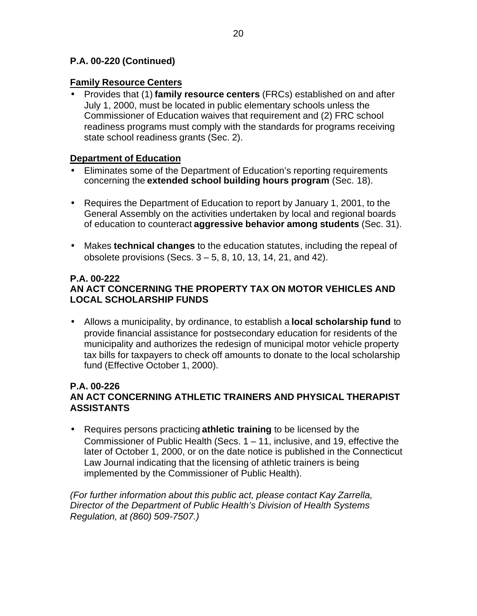#### **P.A. 00-220 (Continued)**

#### **Family Resource Centers**

• Provides that (1) **family resource centers** (FRCs) established on and after July 1, 2000, must be located in public elementary schools unless the Commissioner of Education waives that requirement and (2) FRC school readiness programs must comply with the standards for programs receiving state school readiness grants (Sec. 2).

#### **Department of Education**

- Eliminates some of the Department of Education's reporting requirements concerning the **extended school building hours program** (Sec. 18).
- Requires the Department of Education to report by January 1, 2001, to the General Assembly on the activities undertaken by local and regional boards of education to counteract **aggressive behavior among students** (Sec. 31).
- Makes **technical changes** to the education statutes, including the repeal of obsolete provisions (Secs. 3 – 5, 8, 10, 13, 14, 21, and 42).

#### **P.A. 00-222 AN ACT CONCERNING THE PROPERTY TAX ON MOTOR VEHICLES AND LOCAL SCHOLARSHIP FUNDS**

• Allows a municipality, by ordinance, to establish a **local scholarship fund** to provide financial assistance for postsecondary education for residents of the municipality and authorizes the redesign of municipal motor vehicle property tax bills for taxpayers to check off amounts to donate to the local scholarship fund (Effective October 1, 2000).

#### **P.A. 00-226 AN ACT CONCERNING ATHLETIC TRAINERS AND PHYSICAL THERAPIST ASSISTANTS**

• Requires persons practicing **athletic training** to be licensed by the Commissioner of Public Health (Secs. 1 – 11, inclusive, and 19, effective the later of October 1, 2000, or on the date notice is published in the Connecticut Law Journal indicating that the licensing of athletic trainers is being implemented by the Commissioner of Public Health).

*(For further information about this public act, please contact Kay Zarrella, Director of the Department of Public Health's Division of Health Systems Regulation, at (860) 509-7507.)*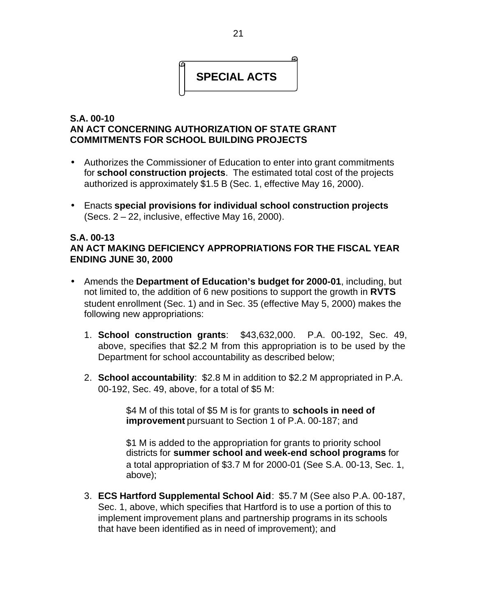

#### **S.A. 00-10 AN ACT CONCERNING AUTHORIZATION OF STATE GRANT COMMITMENTS FOR SCHOOL BUILDING PROJECTS**

- Authorizes the Commissioner of Education to enter into grant commitments for **school construction projects**. The estimated total cost of the projects authorized is approximately \$1.5 B (Sec. 1, effective May 16, 2000).
- Enacts **special provisions for individual school construction projects**  (Secs. 2 – 22, inclusive, effective May 16, 2000).

#### **S.A. 00-13 AN ACT MAKING DEFICIENCY APPROPRIATIONS FOR THE FISCAL YEAR ENDING JUNE 30, 2000**

- Amends the **Department of Education's budget for 2000-01**, including, but not limited to, the addition of 6 new positions to support the growth in **RVTS**  student enrollment (Sec. 1) and in Sec. 35 (effective May 5, 2000) makes the following new appropriations:
	- 1. **School construction grants**: \$43,632,000. P.A. 00-192, Sec. 49, above, specifies that \$2.2 M from this appropriation is to be used by the Department for school accountability as described below;
	- 2. **School accountability**: \$2.8 M in addition to \$2.2 M appropriated in P.A. 00-192, Sec. 49, above, for a total of \$5 M:

\$4 M of this total of \$5 M is for grants to **schools in need of improvement** pursuant to Section 1 of P.A. 00-187; and

\$1 M is added to the appropriation for grants to priority school districts for **summer school and week-end school programs** for a total appropriation of \$3.7 M for 2000-01 (See S.A. 00-13, Sec. 1, above);

3. **ECS Hartford Supplemental School Aid**: \$5.7 M (See also P.A. 00-187, Sec. 1, above, which specifies that Hartford is to use a portion of this to implement improvement plans and partnership programs in its schools that have been identified as in need of improvement); and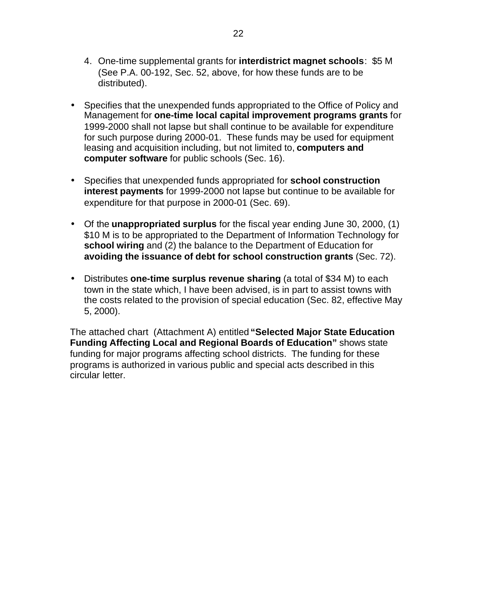- 4. One-time supplemental grants for **interdistrict magnet schools**: \$5 M (See P.A. 00-192, Sec. 52, above, for how these funds are to be distributed).
- Specifies that the unexpended funds appropriated to the Office of Policy and Management for **one-time local capital improvement programs grants** for 1999-2000 shall not lapse but shall continue to be available for expenditure for such purpose during 2000-01. These funds may be used for equipment leasing and acquisition including, but not limited to, **computers and computer software** for public schools (Sec. 16).
- Specifies that unexpended funds appropriated for **school construction interest payments** for 1999-2000 not lapse but continue to be available for expenditure for that purpose in 2000-01 (Sec. 69).
- Of the **unappropriated surplus** for the fiscal year ending June 30, 2000, (1) \$10 M is to be appropriated to the Department of Information Technology for **school wiring** and (2) the balance to the Department of Education for **avoiding the issuance of debt for school construction grants** (Sec. 72).
- Distributes **one-time surplus revenue sharing** (a total of \$34 M) to each town in the state which, I have been advised, is in part to assist towns with the costs related to the provision of special education (Sec. 82, effective May 5, 2000).

The attached chart (Attachment A) entitled **"Selected Major State Education Funding Affecting Local and Regional Boards of Education"** shows state funding for major programs affecting school districts. The funding for these programs is authorized in various public and special acts described in this circular letter.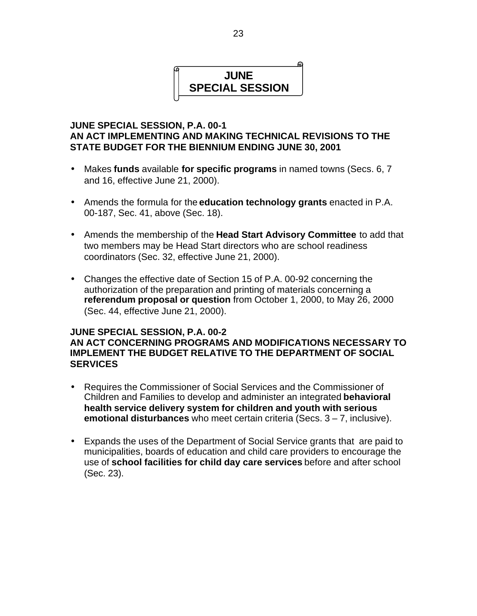# **JUNE SPECIAL SESSION**

#### **JUNE SPECIAL SESSION, P.A. 00-1 AN ACT IMPLEMENTING AND MAKING TECHNICAL REVISIONS TO THE STATE BUDGET FOR THE BIENNIUM ENDING JUNE 30, 2001**

- Makes **funds** available **for specific programs** in named towns (Secs. 6, 7 and 16, effective June 21, 2000).
- Amends the formula for the **education technology grants** enacted in P.A. 00-187, Sec. 41, above (Sec. 18).
- Amends the membership of the **Head Start Advisory Committee** to add that two members may be Head Start directors who are school readiness coordinators (Sec. 32, effective June 21, 2000).
- Changes the effective date of Section 15 of P.A. 00-92 concerning the authorization of the preparation and printing of materials concerning a **referendum proposal or question** from October 1, 2000, to May 26, 2000 (Sec. 44, effective June 21, 2000).

#### **JUNE SPECIAL SESSION, P.A. 00-2 AN ACT CONCERNING PROGRAMS AND MODIFICATIONS NECESSARY TO IMPLEMENT THE BUDGET RELATIVE TO THE DEPARTMENT OF SOCIAL SERVICES**

- Requires the Commissioner of Social Services and the Commissioner of Children and Families to develop and administer an integrated **behavioral health service delivery system for children and youth with serious emotional disturbances** who meet certain criteria (Secs. 3 – 7, inclusive).
- Expands the uses of the Department of Social Service grants that are paid to municipalities, boards of education and child care providers to encourage the use of **school facilities for child day care services** before and after school (Sec. 23).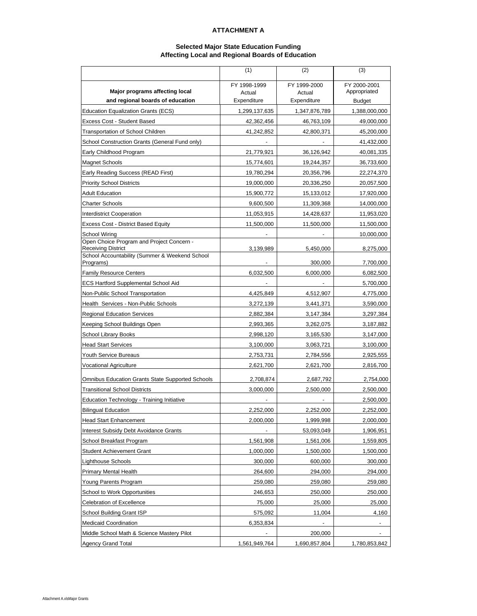#### **ATTACHMENT A**

#### **Selected Major State Education Funding Affecting Local and Regional Boards of Education**

|                                                                        | (1)           | (2)           | (3)           |
|------------------------------------------------------------------------|---------------|---------------|---------------|
|                                                                        | FY 1998-1999  | FY 1999-2000  | FY 2000-2001  |
| Major programs affecting local                                         | Actual        | Actual        | Appropriated  |
| and regional boards of education                                       | Expenditure   | Expenditure   | Budget        |
| <b>Education Equalization Grants (ECS)</b>                             | 1,299,137,635 | 1,347,876,789 | 1,388,000,000 |
| Excess Cost - Student Based                                            | 42,362,456    | 46,763,109    | 49,000,000    |
| <b>Transportation of School Children</b>                               | 41,242,852    | 42,800,371    | 45,200,000    |
| School Construction Grants (General Fund only)                         |               |               | 41,432,000    |
| Early Childhood Program                                                | 21,779,921    | 36,126,942    | 40,081,335    |
| <b>Magnet Schools</b>                                                  | 15,774,601    | 19,244,357    | 36,733,600    |
| Early Reading Success (READ First)                                     | 19,780,294    | 20,356,796    | 22,274,370    |
| <b>Priority School Districts</b>                                       | 19,000,000    | 20,336,250    | 20,057,500    |
| <b>Adult Education</b>                                                 | 15,900,772    | 15,133,012    | 17,920,000    |
| <b>Charter Schools</b>                                                 | 9,600,500     | 11,309,368    | 14,000,000    |
| <b>Interdistrict Cooperation</b>                                       | 11,053,915    | 14,428,637    | 11,953,020    |
| <b>Excess Cost - District Based Equity</b>                             | 11,500,000    | 11,500,000    | 11,500,000    |
| School Wiring                                                          |               |               | 10,000,000    |
| Open Choice Program and Project Concern -<br><b>Receiving District</b> | 3,139,989     | 5,450,000     | 8,275,000     |
| School Accountability (Summer & Weekend School                         |               |               |               |
| Programs)                                                              |               | 300,000       | 7,700,000     |
| <b>Family Resource Centers</b>                                         | 6,032,500     | 6,000,000     | 6,082,500     |
| <b>ECS Hartford Supplemental School Aid</b>                            |               |               | 5,700,000     |
| Non-Public School Transportation                                       | 4,425,849     | 4,512,907     | 4,775,000     |
| Health Services - Non-Public Schools                                   | 3,272,139     | 3,441,371     | 3,590,000     |
| <b>Regional Education Services</b>                                     | 2,882,384     | 3,147,384     | 3,297,384     |
| Keeping School Buildings Open                                          | 2,993,365     | 3,262,075     | 3,187,882     |
| School Library Books                                                   | 2,998,120     | 3,165,530     | 3,147,000     |
| <b>Head Start Services</b>                                             | 3,100,000     | 3,063,721     | 3,100,000     |
| Youth Service Bureaus                                                  | 2,753,731     | 2,784,556     | 2,925,555     |
| Vocational Agriculture                                                 | 2,621,700     | 2,621,700     | 2,816,700     |
| <b>Omnibus Education Grants State Supported Schools</b>                | 2,708,874     | 2,687,792     | 2,754,000     |
| <b>Transitional School Districts</b>                                   | 3,000,000     | 2,500,000     | 2,500,000     |
| <b>Education Technology - Training Initiative</b>                      |               |               | 2,500,000     |
| <b>Bilingual Education</b>                                             | 2,252,000     | 2,252,000     | 2,252,000     |
| <b>Head Start Enhancement</b>                                          | 2,000,000     | 1,999,998     | 2,000,000     |
| Interest Subsidy Debt Avoidance Grants                                 |               | 53,093,049    | 1,906,951     |
| School Breakfast Program                                               | 1,561,908     | 1,561,006     | 1,559,805     |
| <b>Student Achievement Grant</b>                                       | 1,000,000     | 1,500,000     | 1,500,000     |
| <b>Lighthouse Schools</b>                                              | 300,000       | 600,000       | 300,000       |
| <b>Primary Mental Health</b>                                           | 264,600       | 294,000       | 294,000       |
| Young Parents Program                                                  | 259,080       | 259,080       | 259,080       |
| School to Work Opportunities                                           | 246,653       | 250,000       | 250,000       |
| <b>Celebration of Excellence</b>                                       | 75,000        | 25,000        | 25,000        |
| School Building Grant ISP                                              | 575,092       | 11,004        | 4,160         |
| <b>Medicaid Coordination</b>                                           | 6,353,834     |               |               |
| Middle School Math & Science Mastery Pilot                             |               | 200,000       |               |
| <b>Agency Grand Total</b>                                              | 1,561,949,764 | 1,690,857,804 | 1,780,853,842 |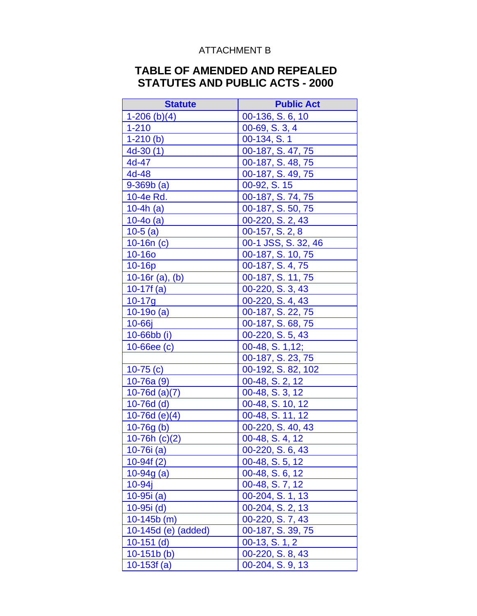## ATTACHMENT B

# **TABLE OF AMENDED AND REPEALED STATUTES AND PUBLIC ACTS - 2000**

| <b>Statute</b>      | <b>Public Act</b>               |
|---------------------|---------------------------------|
| $1-206(h)(4)$       | $\overline{00}$ -136, S. 6, 10  |
| $1 - 210$           | 00-69, S. 3, 4                  |
| $1-210(b)$          | 00-134, S. 1                    |
| $4d-30(1)$          | 00-187, S. 47, 75               |
| 4d-47               | 00-187, S. 48, 75               |
| 4d-48               | 00-187, S. 49, 75               |
| $9 - 369b(a)$       | 00-92, S. 15                    |
| 10-4e Rd.           | 00-187, S. 74, 75               |
| $10-4h$ (a)         | 00-187, S. 50, 75               |
| $10-40(a)$          | 00-220, S. 2, 43                |
| $10-5(a)$           | 00-157, S. 2, 8                 |
| $10-16n$ (c)        | 00-1 JSS, S. 32, 46             |
| <b>10-16o</b>       | 00-187, S. 10, 75               |
| 10-16p              | 00-187, S. 4, 75                |
| $10-16r$ (a), (b)   | $\overline{0}$ 0-187, S. 11, 75 |
| $10-17f(a)$         | $00-220, S. 3, 43$              |
| $10 - 17q$          | 00-220, S. 4, 43                |
| $10-190(a)$         | 00-187, S. 22, 75               |
| 10-66j              | 00-187, S. 68, 75               |
| 10-66bb (i)         | 00-220, S. 5, 43                |
| $10 - 66$ ee $(c)$  | 00-48, S. 1, 12;                |
|                     | 00-187, S. 23, 75               |
| 10-75 $(c)$         | 00-192, S. 82, 102              |
| $10-76a(9)$         | 00-48, S. 2, 12                 |
| $10-76d$ (a)(7)     | 00-48, S. 3, 12                 |
| $10-76d$ (d)        | 00-48, S. 10, 12                |
| $10-76d$ (e)(4)     | $\overline{00-48}$ , S. 11, 12  |
| $10-76g(b)$         | 00-220, S. 40, 43               |
| $10-76h(c)(2)$      | 00-48, S. 4, 12                 |
| 10-76i (a)          | 00-220, S. 6, 43                |
| $10-94f(2)$         | 00-48, S. 5, 12                 |
| $10 - 94g$ (a)      | 00-48, S. 6, 12                 |
| $10 - 94j$          | 00-48, S. 7, 12                 |
| $10-95i(a)$         | 00-204, S. 1, 13                |
| $10-95i$ (d)        | 00-204, S. 2, 13                |
| $10-145b$ (m)       | 00-220, S. 7, 43                |
| 10-145d (e) (added) | 00-187, S. 39, 75               |
| $10-151$ (d)        | $00-13, S. 1, 2$                |
| $10-151b$ (b)       | 00-220, S. 8, 43                |
| 10-153 $f(a)$       | 00-204, S. 9, 13                |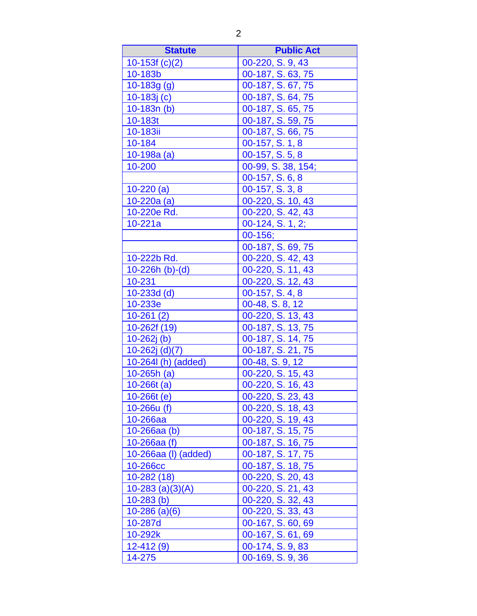| <b>Statute</b>       | <b>Public Act</b>  |
|----------------------|--------------------|
| $10-153f(c)(2)$      | 00-220, S. 9, 43   |
| 10-183b              | 00-187, S. 63, 75  |
| $10-183g(g)$         | 00-187, S. 67, 75  |
| $10-183j(c)$         | 00-187, S. 64, 75  |
| $10-183n(b)$         | 00-187, S. 65, 75  |
| 10-183t              | 00-187, S. 59, 75  |
| 10-183ii             | 00-187, S. 66, 75  |
| 10-184               | 00-157, S. 1, 8    |
| $10-198a(a)$         | 00-157, S. 5, 8    |
| 10-200               | 00-99, S. 38, 154; |
|                      | 00-157, S. 6, 8    |
| $10 - 220(a)$        | 00-157, S. 3, 8    |
| $10 - 220a$ (a)      | 00-220, S. 10, 43  |
| 10-220e Rd.          | 00-220, S. 42, 43  |
| $10 - 221a$          | 00-124, S. 1, 2;   |
|                      | $00-156;$          |
|                      | 00-187, S. 69, 75  |
| 10-222b Rd.          | 00-220, S. 42, 43  |
| $10-226h$ (b)-(d)    | 00-220, S. 11, 43  |
| 10-231               | 00-220, S. 12, 43  |
| $10 - 233d$ (d)      | 00-157, S. 4, 8    |
| 10-233e              | 00-48, S. 8, 12    |
| $10-261(2)$          | 00-220, S. 13, 43  |
| 10-262f (19)         | 00-187, S. 13, 75  |
| $10 - 262j$ (b)      | 00-187, S. 14, 75  |
| $10-262j$ (d)(7)     | 00-187, S. 21, 75  |
| 10-264l (h) (added)  | 00-48, S. 9, 12    |
| $10 - 265h$ (a)      | 00-220, S. 15, 43  |
| $10 - 266t$ (a)      | 00-220, S. 16, 43  |
| $10 - 266t$ (e)      | 00-220, S. 23, 43  |
| 10-266u (f)          | 00-220, S. 18, 43  |
| 10-266aa             | 00-220, S. 19, 43  |
| $10 - 266$ aa $(b)$  | 00-187, S. 15, 75  |
| $10 - 266$ aa $(f)$  | 00-187, S. 16, 75  |
| 10-266aa (I) (added) | 00-187, S. 17, 75  |
| 10-266cc             | 00-187, S. 18, 75  |
| $10 - 282(18)$       | 00-220, S. 20, 43  |
| $10-283$ (a)(3)(A)   | 00-220, S. 21, 43  |
| $10-283$ (b)         | 00-220, S. 32, 43  |
| $10 - 286$ (a)(6)    | 00-220, S. 33, 43  |
| 10-287d              | 00-167, S. 60, 69  |
| 10-292k              | 00-167, S. 61, 69  |
| $12 - 412(9)$        | 00-174, S. 9, 83   |
| 14-275               | 00-169, S. 9, 36   |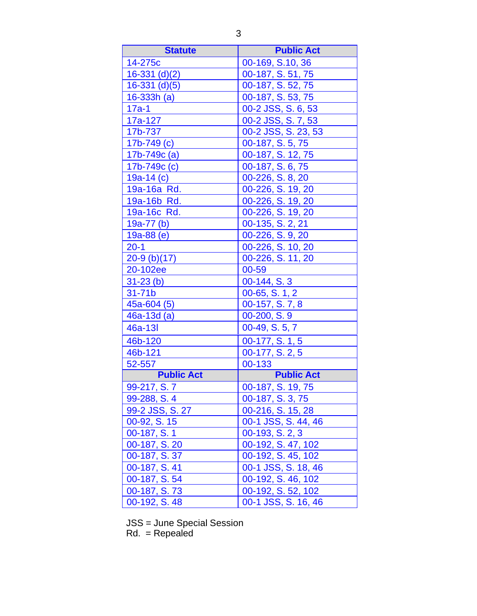| <b>Statute</b>    | <b>Public Act</b>   |
|-------------------|---------------------|
| 14-275c           | 00-169, S.10, 36    |
| $16-331$ (d)(2)   | 00-187, S. 51, 75   |
| $16-331$ (d)(5)   | 00-187, S. 52, 75   |
| $16 - 333h$ (a)   | 00-187, S. 53, 75   |
| $17a-1$           | 00-2 JSS, S. 6, 53  |
| 17a-127           | 00-2 JSS, S. 7, 53  |
| 17b-737           | 00-2 JSS, S. 23, 53 |
| $17b - 749(c)$    | 00-187, S. 5, 75    |
| 17b-749c (a)      | 00-187, S. 12, 75   |
| 17b-749c (c)      | 00-187, S. 6, 75    |
| 19a-14 $(c)$      | 00-226, S. 8, 20    |
| 19a-16a Rd.       | 00-226, S. 19, 20   |
| 19a-16b Rd.       | 00-226, S. 19, 20   |
| 19a-16c Rd.       | 00-226, S. 19, 20   |
| $19a-77$ (b)      | 00-135, S. 2, 21    |
| $19a-88(e)$       | 00-226, S. 9, 20    |
| $20-1$            | 00-226, S. 10, 20   |
| $20-9$ (b)(17)    | 00-226, S. 11, 20   |
| 20-102ee          | 00-59               |
| $31-23(b)$        | 00-144, S. 3        |
| $31-71b$          | $00-65, S. 1, 2$    |
| $45a-604(5)$      | 00-157, S. 7, 8     |
| $46a-13d(a)$      | $00-200, S.9$       |
| 46a-13I           | 00-49, S. 5, 7      |
| 46b-120           | 00-177, S. 1, 5     |
| 46b-121           | 00-177, S. 2, 5     |
| 52-557            | 00-133              |
| <b>Public Act</b> | <b>Public Act</b>   |
| 99-217, S. 7      | 00-187, S. 19, 75   |
| 99-288, S. 4      | 00-187, S. 3, 75    |
| 99-2 JSS, S. 27   | 00-216, S. 15, 28   |
| 00-92, S. 15      | 00-1 JSS, S. 44, 46 |
| 00-187, S. 1      | 00-193, S. 2, 3     |
| 00-187, S. 20     | 00-192, S. 47, 102  |
| 00-187, S. 37     | 00-192, S. 45, 102  |
| 00-187, S. 41     | 00-1 JSS, S. 18, 46 |
| 00-187, S. 54     | 00-192, S. 46, 102  |
| 00-187, S. 73     | 00-192, S. 52, 102  |
| 00-192, S. 48     | 00-1 JSS, S. 16, 46 |

JSS = June Special Session

Rd. = Repealed